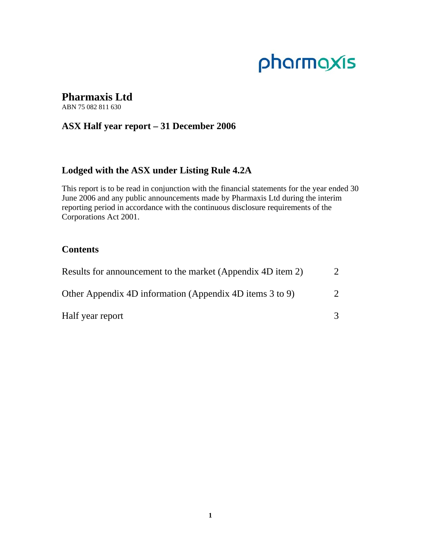# pharmaxis

# **Pharmaxis Ltd**

ABN 75 082 811 630

# **ASX Half year report – 31 December 2006**

# **Lodged with the ASX under Listing Rule 4.2A**

This report is to be read in conjunction with the financial statements for the year ended 30 June 2006 and any public announcements made by Pharmaxis Ltd during the interim reporting period in accordance with the continuous disclosure requirements of the Corporations Act 2001.

# **Contents**

| Results for announcement to the market (Appendix 4D item 2) |               |
|-------------------------------------------------------------|---------------|
| Other Appendix 4D information (Appendix 4D items 3 to 9)    | $\mathcal{D}$ |
| Half year report                                            |               |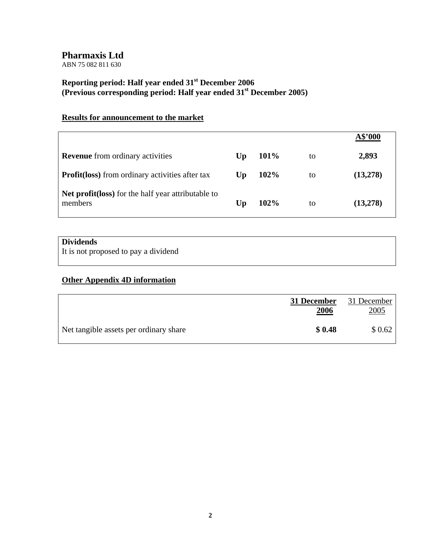ABN 75 082 811 630

# **Reporting period: Half year ended 31st December 2006 (Previous corresponding period: Half year ended 31st December 2005)**

# **Results for announcement to the market**

|                                                               |                        |      |    | A\$'000   |
|---------------------------------------------------------------|------------------------|------|----|-----------|
| <b>Revenue</b> from ordinary activities                       | $\mathbf{U}\mathbf{p}$ | 101% | to | 2,893     |
| <b>Profit (loss)</b> from ordinary activities after tax       | Up                     | 102% | to | (13,278)  |
| Net profit(loss) for the half year attributable to<br>members | Up                     | 102% | to | (13, 278) |

# **Dividends**

It is not proposed to pay a dividend

# **Other Appendix 4D information**

|                                        | 31 December<br><u>2006</u> | 31 December<br><u>2005</u> |
|----------------------------------------|----------------------------|----------------------------|
| Net tangible assets per ordinary share | \$0.48                     | \$0.62                     |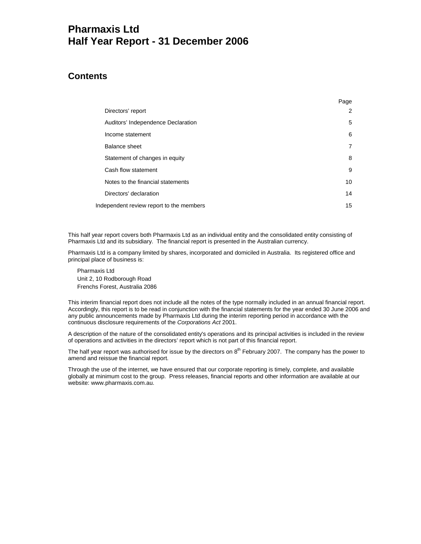# **Pharmaxis Ltd Half Year Report - 31 December 2006**

# **Contents**

|                                          | Page           |
|------------------------------------------|----------------|
| Directors' report                        | 2              |
| Auditors' Independence Declaration       | 5              |
| Income statement                         | 6              |
| Balance sheet                            | $\overline{7}$ |
| Statement of changes in equity           | 8              |
| Cash flow statement                      | 9              |
| Notes to the financial statements        | 10             |
| Directors' declaration                   | 14             |
| Independent review report to the members | 15             |

This half year report covers both Pharmaxis Ltd as an individual entity and the consolidated entity consisting of Pharmaxis Ltd and its subsidiary. The financial report is presented in the Australian currency.

Pharmaxis Ltd is a company limited by shares, incorporated and domiciled in Australia. Its registered office and principal place of business is:

Pharmaxis Ltd Unit 2, 10 Rodborough Road Frenchs Forest, Australia 2086

This interim financial report does not include all the notes of the type normally included in an annual financial report. Accordingly, this report is to be read in conjunction with the financial statements for the year ended 30 June 2006 and any public announcements made by Pharmaxis Ltd during the interim reporting period in accordance with the continuous disclosure requirements of the *Corporations Act* 2001.

A description of the nature of the consolidated entity's operations and its principal activities is included in the review of operations and activities in the directors' report which is not part of this financial report.

The half year report was authorised for issue by the directors on 8<sup>th</sup> February 2007. The company has the power to amend and reissue the financial report.

Through the use of the internet, we have ensured that our corporate reporting is timely, complete, and available globally at minimum cost to the group. Press releases, financial reports and other information are available at our website: www.pharmaxis.com.au.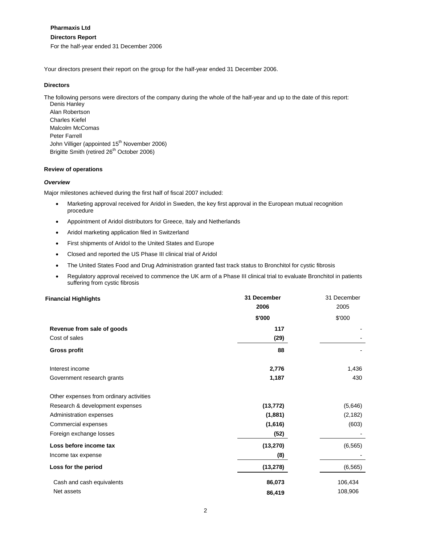# **Directors Report**

For the half-year ended 31 December 2006

Your directors present their report on the group for the half-year ended 31 December 2006.

# **Directors**

The following persons were directors of the company during the whole of the half-year and up to the date of this report:

Denis Hanley Alan Robertson Charles Kiefel Malcolm McComas Peter Farrell John Villiger (appointed 15<sup>th</sup> November 2006) Brigitte Smith (retired 26<sup>th</sup> October 2006)

# **Review of operations**

# *Overview*

Major milestones achieved during the first half of fiscal 2007 included:

- Marketing approval received for Aridol in Sweden, the key first approval in the European mutual recognition procedure
- Appointment of Aridol distributors for Greece, Italy and Netherlands
- Aridol marketing application filed in Switzerland
- First shipments of Aridol to the United States and Europe
- Closed and reported the US Phase III clinical trial of Aridol
- The United States Food and Drug Administration granted fast track status to Bronchitol for cystic fibrosis
- Regulatory approval received to commence the UK arm of a Phase III clinical trial to evaluate Bronchitol in patients suffering from cystic fibrosis

| <b>Financial Highlights</b>             | 31 December | 31 December |
|-----------------------------------------|-------------|-------------|
|                                         | 2006        | 2005        |
|                                         | \$'000      | \$'000      |
| Revenue from sale of goods              | 117         |             |
| Cost of sales                           | (29)        |             |
| <b>Gross profit</b>                     | 88          |             |
| Interest income                         | 2,776       | 1,436       |
| Government research grants              | 1,187       | 430         |
| Other expenses from ordinary activities |             |             |
| Research & development expenses         | (13, 772)   | (5,646)     |
| Administration expenses                 | (1,881)     | (2, 182)    |
| Commercial expenses                     | (1,616)     | (603)       |
| Foreign exchange losses                 | (52)        |             |
| Loss before income tax                  | (13, 270)   | (6, 565)    |
| Income tax expense                      | (8)         |             |
| Loss for the period                     | (13, 278)   | (6, 565)    |
| Cash and cash equivalents               | 86,073      | 106,434     |
| Net assets                              | 86,419      | 108,906     |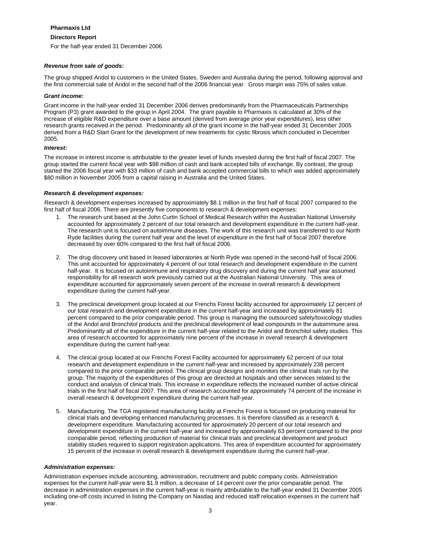# **Directors Report**

For the half-year ended 31 December 2006

## *Revenue from sale of goods:*

The group shipped Aridol to customers in the United States, Sweden and Australia during the period, following approval and the first commercial sale of Aridol in the second half of the 2006 financial year. Gross margin was 75% of sales value.

## *Grant income:*

Grant income in the half-year ended 31 December 2006 derives predominantly from the Pharmaceuticals Partnerships Program (P3) grant awarded to the group in April 2004. The grant payable to Pharmaxis is calculated at 30% of the increase of eligible R&D expenditure over a base amount (derived from average prior year expenditures), less other research grants received in the period. Predominantly all of the grant income in the half-year ended 31 December 2005 derived from a R&D Start Grant for the development of new treatments for cystic fibrosis which concluded in December 2005.

## *Interest:*

The increase in interest income is attributable to the greater level of funds invested during the first half of fiscal 2007. The group started the current fiscal year with \$98 million of cash and bank accepted bills of exchange. By contrast, the group started the 2006 fiscal year with \$33 million of cash and bank accepted commercial bills to which was added approximately \$80 million in November 2005 from a capital raising in Australia and the United States.

## *Research & development expenses:*

Research & development expenses increased by approximately \$8.1 million in the first half of fiscal 2007 compared to the first half of fiscal 2006. There are presently five components to research & development expenses:

- 1. The research unit based at the John Curtin School of Medical Research within the Australian National University accounted for approximately 2 percent of our total research and development expenditure in the current half-year. The research unit is focused on autoimmune diseases. The work of this research unit was transferred to our North Ryde facilities during the current half year and the level of expenditure in the first half of fiscal 2007 therefore decreased by over 60% compared to the first half of fiscal 2006.
- 2. The drug discovery unit based in leased laboratories at North Ryde was opened in the second-half of fiscal 2006. This unit accounted for approximately 4 percent of our total research and development expenditure in the current half-year. It is focused on autoimmune and respiratory drug discovery and during the current half year assumed responsibility for all research work previously carried out at the Australian National University. This area of expenditure accounted for approximately seven percent of the increase in overall research & development expenditure during the current half-year.
- 3. The preclinical development group located at our Frenchs Forest facility accounted for approximately 12 percent of our total research and development expenditure in the current half-year and increased by approximately 81 percent compared to the prior comparable period. This group is managing the outsourced safety/toxicology studies of the Aridol and Bronchitol products and the preclinical development of lead compounds in the autoimmune area. Predominantly all of the expenditure in the current half-year related to the Aridol and Bronchitol safety studies. This area of research accounted for approximately nine percent of the increase in overall research & development expenditure during the current half-year.
- 4. The clinical group located at our Frenchs Forest Facility accounted for approximately 62 percent of our total research and development expenditure in the current half-year and increased by approximately 238 percent compared to the prior comparable period. The clinical group designs and monitors the clinical trials run by the group. The majority of the expenditures of this group are directed at hospitals and other services related to the conduct and analysis of clinical trials. This increase in expenditure reflects the increased number of active clinical trials in the first half of fiscal 2007. This area of research accounted for approximately 74 percent of the increase in overall research & development expenditure during the current half-year.
- 5. Manufacturing. The TGA registered manufacturing facility at Frenchs Forest is focused on producing material for clinical trials and developing enhanced manufacturing processes. It is therefore classified as a research & development expenditure. Manufacturing accounted for approximately 20 percent of our total research and development expenditure in the current half-year and increased by approximately 63 percent compared to the prior comparable period, reflecting production of material for clinical trials and preclinical development and product stability studies required to support registration applications. This area of expenditure accounted for approximately 15 percent of the increase in overall research & development expenditure during the current half-year.

#### *Administration expenses:*

Administration expenses include accounting, administration, recruitment and public company costs. Administration expenses for the current half-year were \$1.9 million, a decrease of 14 percent over the prior comparable period. The decrease in administration expenses in the current half-year is mainly attributable to the half-year ended 31 December 2005 including one-off costs incurred in listing the Company on Nasdaq and reduced staff relocation expenses in the current half year.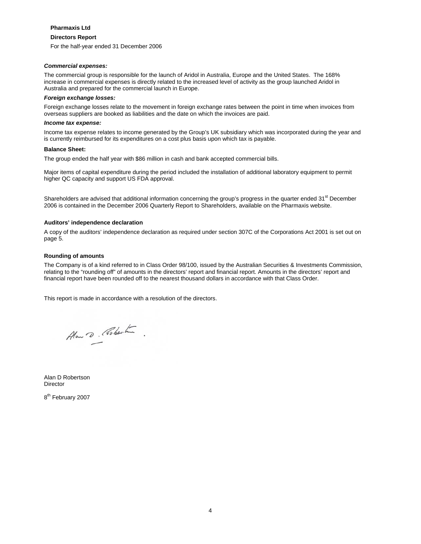#### **Directors Report**

For the half-year ended 31 December 2006

#### *Commercial expenses:*

The commercial group is responsible for the launch of Aridol in Australia, Europe and the United States. The 168% increase in commercial expenses is directly related to the increased level of activity as the group launched Aridol in Australia and prepared for the commercial launch in Europe.

#### *Foreign exchange losses:*

Foreign exchange losses relate to the movement in foreign exchange rates between the point in time when invoices from overseas suppliers are booked as liabilities and the date on which the invoices are paid.

#### *Income tax expense:*

Income tax expense relates to income generated by the Group's UK subsidiary which was incorporated during the year and is currently reimbursed for its expenditures on a cost plus basis upon which tax is payable.

#### **Balance Sheet:**

The group ended the half year with \$86 million in cash and bank accepted commercial bills.

Major items of capital expenditure during the period included the installation of additional laboratory equipment to permit higher QC capacity and support US FDA approval.

Shareholders are advised that additional information concerning the group's progress in the quarter ended 31<sup>st</sup> December 2006 is contained in the December 2006 Quarterly Report to Shareholders, available on the Pharmaxis website.

#### **Auditors' independence declaration**

A copy of the auditors' independence declaration as required under section 307C of the Corporations Act 2001 is set out on page 5.

#### **Rounding of amounts**

The Company is of a kind referred to in Class Order 98/100, issued by the Australian Securities & Investments Commission, relating to the "rounding off" of amounts in the directors' report and financial report. Amounts in the directors' report and financial report have been rounded off to the nearest thousand dollars in accordance with that Class Order.

This report is made in accordance with a resolution of the directors.

Alow D. Roberton

Alan D Robertson Director

8<sup>th</sup> February 2007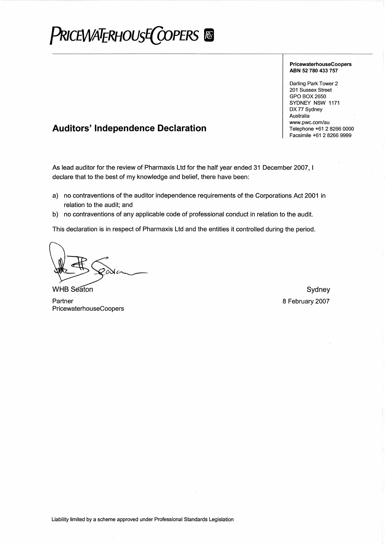# **PRICEWATERHOUSE COPERS**

#### PricewaterhouseCoopers ABN 52 780 433 757

Darling Park Tower 2 201 Sussex Street GPO BOX 2650 SYDNEY NSW 1171 DX 77 Sydney Australia www.pwc.com/au Telephone +61 2 8266 0000 Facsimile +61 2 8266 9999

# **Auditors' Independence Declaration**

As lead auditor for the review of Pharmaxis Ltd for the half year ended 31 December 2007, I declare that to the best of my knowledge and belief, there have been:

- a) no contraventions of the auditor independence requirements of the Corporations Act 2001 in relation to the audit; and
- b) no contraventions of any applicable code of professional conduct in relation to the audit.

This declaration is in respect of Pharmaxis Ltd and the entities it controlled during the period.

**WHB Seaton** 

Sydney 8 February 2007

Partner PricewaterhouseCoopers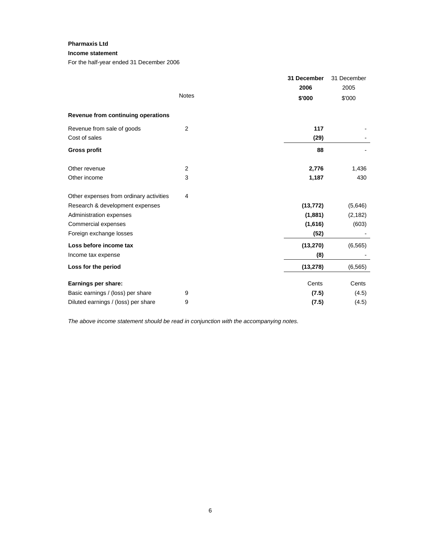# **Income statement**

For the half-year ended 31 December 2006

|                                         |                | 31 December | 31 December |
|-----------------------------------------|----------------|-------------|-------------|
|                                         |                | 2006        | 2005        |
|                                         | <b>Notes</b>   | \$'000      | \$'000      |
| Revenue from continuing operations      |                |             |             |
| Revenue from sale of goods              | $\overline{2}$ | 117         |             |
| Cost of sales                           |                | (29)        |             |
| <b>Gross profit</b>                     |                | 88          |             |
| Other revenue                           | $\overline{2}$ | 2,776       | 1,436       |
| Other income                            | 3              | 1,187       | 430         |
| Other expenses from ordinary activities | 4              |             |             |
| Research & development expenses         |                | (13, 772)   | (5,646)     |
| Administration expenses                 |                | (1,881)     | (2, 182)    |
| Commercial expenses                     |                | (1,616)     | (603)       |
| Foreign exchange losses                 |                | (52)        |             |
| Loss before income tax                  |                | (13, 270)   | (6, 565)    |
| Income tax expense                      |                | (8)         |             |
| Loss for the period                     |                | (13, 278)   | (6, 565)    |
| Earnings per share:                     |                | Cents       | Cents       |
| Basic earnings / (loss) per share       | 9              | (7.5)       | (4.5)       |
| Diluted earnings / (loss) per share     | 9              | (7.5)       | (4.5)       |

*The above income statement should be read in conjunction with the accompanying notes.*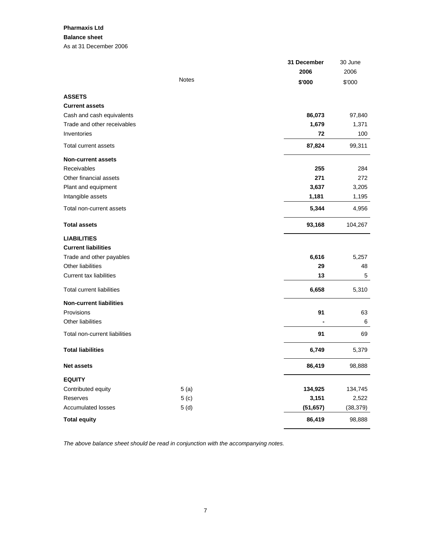# **Pharmaxis Ltd Balance sheet**  As at 31 December 2006

|                                  | 31 December | 30 June   |
|----------------------------------|-------------|-----------|
|                                  | 2006        | 2006      |
| <b>Notes</b>                     | \$'000      | \$'000    |
| <b>ASSETS</b>                    |             |           |
| <b>Current assets</b>            |             |           |
| Cash and cash equivalents        | 86,073      | 97,840    |
| Trade and other receivables      | 1,679       | 1,371     |
| Inventories                      | 72          | 100       |
| Total current assets             | 87,824      | 99,311    |
| <b>Non-current assets</b>        |             |           |
| Receivables                      | 255         | 284       |
| Other financial assets           | 271         | 272       |
| Plant and equipment              | 3,637       | 3,205     |
| Intangible assets                | 1,181       | 1,195     |
| Total non-current assets         | 5,344       | 4,956     |
| <b>Total assets</b>              | 93,168      | 104,267   |
| <b>LIABILITIES</b>               |             |           |
| <b>Current liabilities</b>       |             |           |
| Trade and other payables         | 6,616       | 5,257     |
| Other liabilities                | 29          | 48        |
| <b>Current tax liabilities</b>   | 13          | 5         |
| <b>Total current liabilities</b> | 6,658       | 5,310     |
| <b>Non-current liabilities</b>   |             |           |
| Provisions                       | 91          | 63        |
| Other liabilities                |             | 6         |
| Total non-current liabilities    | 91          | 69        |
| <b>Total liabilities</b>         | 6,749       | 5,379     |
| <b>Net assets</b>                | 86,419      | 98,888    |
| <b>EQUITY</b>                    |             |           |
| 5(a)<br>Contributed equity       | 134,925     | 134,745   |
| 5( c)<br>Reserves                | 3,151       | 2,522     |
| Accumulated losses<br>5(d)       | (51, 657)   | (38, 379) |
| <b>Total equity</b>              | 86,419      | 98,888    |

*The above balance sheet should be read in conjunction with the accompanying notes.*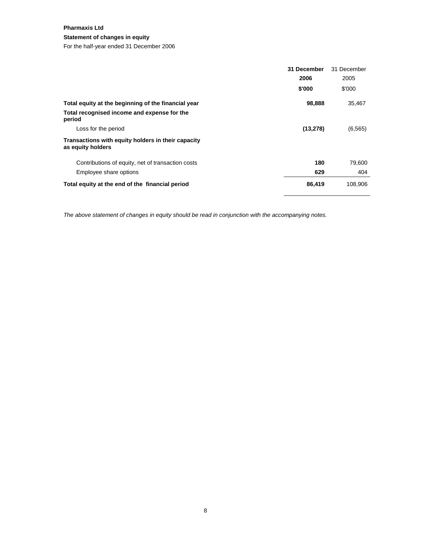# **Statement of changes in equity**

For the half-year ended 31 December 2006

|                                                                         | 31 December | 31 December |
|-------------------------------------------------------------------------|-------------|-------------|
|                                                                         | 2006        | 2005        |
|                                                                         | \$'000      | \$'000      |
| Total equity at the beginning of the financial year                     | 98,888      | 35,467      |
| Total recognised income and expense for the<br>period                   |             |             |
| Loss for the period                                                     | (13, 278)   | (6, 565)    |
| Transactions with equity holders in their capacity<br>as equity holders |             |             |
| Contributions of equity, net of transaction costs                       | 180         | 79,600      |
| Employee share options                                                  | 629         | 404         |
| Total equity at the end of the financial period                         | 86,419      | 108,906     |

*The above statement of changes in equity should be read in conjunction with the accompanying notes.*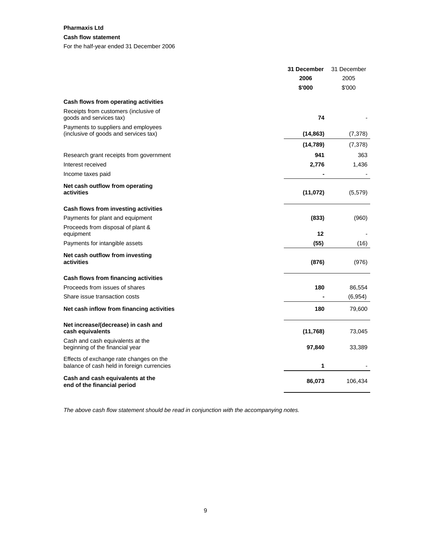# **Cash flow statement**

For the half-year ended 31 December 2006

|                                                                                       | 31 December | 31 December |
|---------------------------------------------------------------------------------------|-------------|-------------|
|                                                                                       | 2006        | 2005        |
|                                                                                       | \$'000      | \$'000      |
| Cash flows from operating activities                                                  |             |             |
| Receipts from customers (inclusive of<br>goods and services tax)                      | 74          |             |
| Payments to suppliers and employees<br>(inclusive of goods and services tax)          | (14, 863)   | (7, 378)    |
|                                                                                       | (14, 789)   | (7, 378)    |
| Research grant receipts from government                                               | 941         | 363         |
| Interest received                                                                     | 2,776       | 1,436       |
| Income taxes paid                                                                     |             |             |
| Net cash outflow from operating<br>activities                                         | (11, 072)   | (5,579)     |
| Cash flows from investing activities                                                  |             |             |
| Payments for plant and equipment                                                      | (833)       | (960)       |
| Proceeds from disposal of plant &<br>equipment                                        | $12 \,$     |             |
| Payments for intangible assets                                                        | (55)        | (16)        |
| Net cash outflow from investing<br>activities                                         | (876)       | (976)       |
| Cash flows from financing activities                                                  |             |             |
| Proceeds from issues of shares                                                        | 180         | 86,554      |
| Share issue transaction costs                                                         |             | (6,954)     |
| Net cash inflow from financing activities                                             | 180         | 79,600      |
| Net increase/(decrease) in cash and<br>cash equivalents                               | (11, 768)   | 73,045      |
| Cash and cash equivalents at the<br>beginning of the financial year                   | 97,840      | 33,389      |
| Effects of exchange rate changes on the<br>balance of cash held in foreign currencies | 1           |             |
| Cash and cash equivalents at the<br>end of the financial period                       | 86,073      | 106,434     |

*The above cash flow statement should be read in conjunction with the accompanying notes.*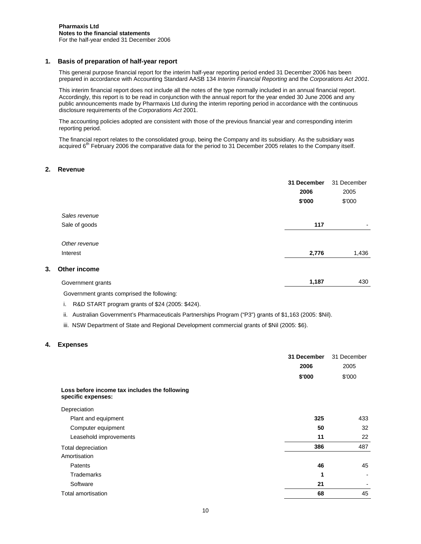## **1. Basis of preparation of half-year report**

This general purpose financial report for the interim half-year reporting period ended 31 December 2006 has been prepared in accordance with Accounting Standard AASB 134 *Interim Financial Reporting* and the *Corporations Act 2001*.

This interim financial report does not include all the notes of the type normally included in an annual financial report. Accordingly, this report is to be read in conjunction with the annual report for the year ended 30 June 2006 and any public announcements made by Pharmaxis Ltd during the interim reporting period in accordance with the continuous disclosure requirements of the *Corporations Act* 2001.

The accounting policies adopted are consistent with those of the previous financial year and corresponding interim reporting period.

The financial report relates to the consolidated group, being the Company and its subsidiary. As the subsidiary was acquired 6<sup>th</sup> February 2006 the comparative data for the period to 31 December 2005 relates to the Company itself.

## **2. Revenue**

|    |                   | 31 December<br>2006<br>\$'000 | 31 December<br>2005<br>\$'000 |
|----|-------------------|-------------------------------|-------------------------------|
|    | Sales revenue     |                               |                               |
|    | Sale of goods     | 117                           | $\blacksquare$                |
|    | Other revenue     |                               |                               |
|    | Interest          | 2,776                         | 1,436                         |
| 3. | Other income      |                               |                               |
|    | Government grants | 1,187                         | 430                           |

Government grants comprised the following:

i. R&D START program grants of \$24 (2005: \$424).

ii. Australian Government's Pharmaceuticals Partnerships Program ("P3") grants of \$1,163 (2005: \$Nil).

iii. NSW Department of State and Regional Development commercial grants of \$Nil (2005: \$6).

# **4. Expenses**

|                                                                     | 31 December | 31 December |
|---------------------------------------------------------------------|-------------|-------------|
|                                                                     | 2006        | 2005        |
|                                                                     | \$'000      | \$'000      |
| Loss before income tax includes the following<br>specific expenses: |             |             |
| Depreciation                                                        |             |             |
| Plant and equipment                                                 | 325         | 433         |
| Computer equipment                                                  | 50          | 32          |
| Leasehold improvements                                              | 11          | 22          |
| Total depreciation                                                  | 386         | 487         |
| Amortisation                                                        |             |             |
| <b>Patents</b>                                                      | 46          | 45          |
| Trademarks                                                          | 1           |             |
| Software                                                            | 21          |             |
| Total amortisation                                                  | 68          | 45          |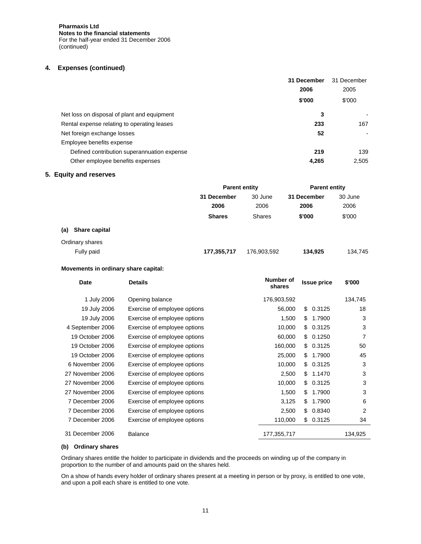**Pharmaxis Ltd Notes to the financial statements**  For the half-year ended 31 December 2006 (continued)

# **4. Expenses (continued)**

|                                             | 31 December | 31 December    |
|---------------------------------------------|-------------|----------------|
|                                             | 2006        | 2005           |
|                                             | \$'000      | \$'000         |
| Net loss on disposal of plant and equipment | 3           |                |
| Rental expense relating to operating leases | 233         | 167            |
| Net foreign exchange losses                 | 52          | $\blacksquare$ |
| Employee benefits expense                   |             |                |
| Defined contribution superannuation expense | 219         | 139            |
| Other employee benefits expenses            | 4,265       | 2,505          |

## **5. Equity and reserves**

|                      | <b>Parent entity</b> |               | <b>Parent entity</b> |         |
|----------------------|----------------------|---------------|----------------------|---------|
|                      | 31 December          | 30 June       | 31 December          | 30 June |
|                      | 2006                 | 2006          | 2006                 | 2006    |
|                      | <b>Shares</b>        | <b>Shares</b> | \$'000               | \$'000  |
| Share capital<br>(a) |                      |               |                      |         |
| Ordinary shares      |                      |               |                      |         |
| Fully paid           | 177,355,717          | 176,903,592   | 134,925              | 134,745 |

## **Movements in ordinary share capital:**

| Date             | <b>Details</b>               | Number of<br>shares | <b>Issue price</b> | \$'000  |
|------------------|------------------------------|---------------------|--------------------|---------|
| 1 July 2006      | Opening balance              | 176,903,592         |                    | 134,745 |
| 19 July 2006     | Exercise of employee options | 56,000              | 0.3125<br>\$.      | 18      |
| 19 July 2006     | Exercise of employee options | 1,500               | 1.7900<br>\$.      | 3       |
| 4 September 2006 | Exercise of employee options | 10,000              | 0.3125<br>\$.      | 3       |
| 19 October 2006  | Exercise of employee options | 60,000              | 0.1250<br>\$.      | 7       |
| 19 October 2006  | Exercise of employee options | 160,000             | 0.3125<br>\$.      | 50      |
| 19 October 2006  | Exercise of employee options | 25,000              | 1.7900<br>\$.      | 45      |
| 6 November 2006  | Exercise of employee options | 10,000              | 0.3125<br>\$       | 3       |
| 27 November 2006 | Exercise of employee options | 2,500               | \$.<br>1.1470      | 3       |
| 27 November 2006 | Exercise of employee options | 10,000              | \$.<br>0.3125      | 3       |
| 27 November 2006 | Exercise of employee options | 1,500               | 1.7900<br>\$.      | 3       |
| 7 December 2006  | Exercise of employee options | 3,125               | 1.7900<br>\$.      | 6       |
| 7 December 2006  | Exercise of employee options | 2,500               | 0.8340<br>\$.      | 2       |
| 7 December 2006  | Exercise of employee options | 110,000             | 0.3125<br>\$.      | 34      |
| 31 December 2006 | <b>Balance</b>               | 177,355,717         |                    | 134,925 |

# **(b) Ordinary shares**

Ordinary shares entitle the holder to participate in dividends and the proceeds on winding up of the company in proportion to the number of and amounts paid on the shares held.

On a show of hands every holder of ordinary shares present at a meeting in person or by proxy, is entitled to one vote, and upon a poll each share is entitled to one vote.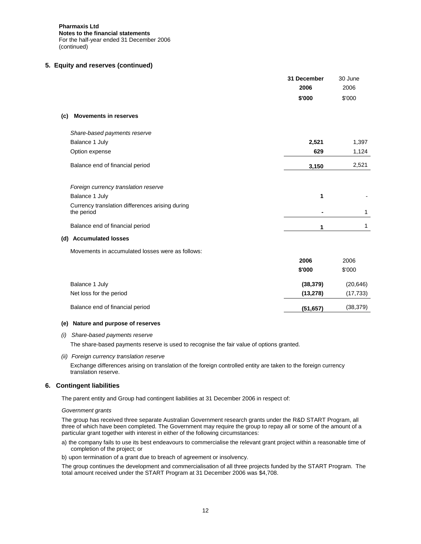**Pharmaxis Ltd Notes to the financial statements**  For the half-year ended 31 December 2006 (continued)

## **5. Equity and reserves (continued)**

|                                                               | 31 December<br>2006 | 30 June<br>2006 |
|---------------------------------------------------------------|---------------------|-----------------|
|                                                               | \$'000              | \$'000          |
|                                                               |                     |                 |
| <b>Movements in reserves</b><br>(c)                           |                     |                 |
| Share-based payments reserve                                  |                     |                 |
| Balance 1 July                                                | 2,521               | 1,397           |
| Option expense                                                | 629                 | 1,124           |
| Balance end of financial period                               | 3,150               | 2,521           |
| Foreign currency translation reserve                          |                     |                 |
| Balance 1 July                                                | 1                   |                 |
| Currency translation differences arising during<br>the period |                     | 1               |
| Balance end of financial period                               | 1                   | 1               |
| (d) Accumulated losses                                        |                     |                 |
| Movements in accumulated losses were as follows:              |                     |                 |
|                                                               | 2006                | 2006            |
|                                                               | \$'000              | \$'000          |
| Balance 1 July                                                | (38, 379)           | (20, 646)       |
| Net loss for the period                                       | (13, 278)           | (17, 733)       |
| Balance end of financial period                               | (51, 657)           | (38, 379)       |

### **(e) Nature and purpose of reserves**

#### *(i) Share-based payments reserve*

The share-based payments reserve is used to recognise the fair value of options granted.

#### *(ii) Foreign currency translation reserve*

Exchange differences arising on translation of the foreign controlled entity are taken to the foreign currency translation reserve.

#### **6. Contingent liabilities**

The parent entity and Group had contingent liabilities at 31 December 2006 in respect of:

## *Government grants*

The group has received three separate Australian Government research grants under the R&D START Program, all three of which have been completed. The Government may require the group to repay all or some of the amount of a particular grant together with interest in either of the following circumstances:

a) the company fails to use its best endeavours to commercialise the relevant grant project within a reasonable time of completion of the project; or

b) upon termination of a grant due to breach of agreement or insolvency.

The group continues the development and commercialisation of all three projects funded by the START Program. The total amount received under the START Program at 31 December 2006 was \$4,708.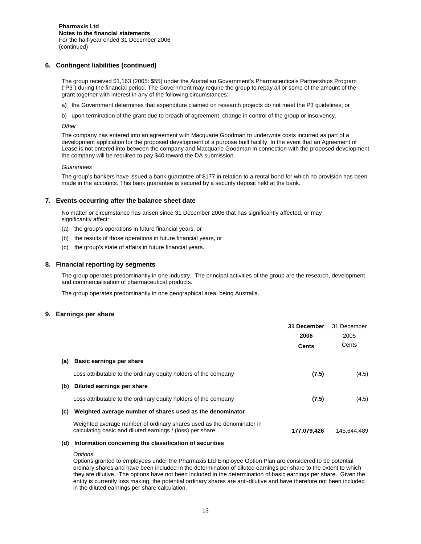## **6. Contingent liabilities (continued)**

The group received \$1,163 (2005: \$55) under the Australian Government's Pharmaceuticals Partnerships Program ("P3") during the financial period. The Government may require the group to repay all or some of the amount of the grant together with interest in any of the following circumstances:

- a) the Government determines that expenditure claimed on research projects do not meet the P3 guidelines; or
- b) upon termination of the grant due to breach of agreement, change in control of the group or insolvency.

*Other* 

The company has entered into an agreement with Macquarie Goodman to underwrite costs incurred as part of a development application for the proposed development of a purpose built facility. In the event that an Agreement of Lease is not entered into between the company and Macquarie Goodman in connection with the proposed development the company will be required to pay \$40 toward the DA submission.

#### *Guarantees*

The group's bankers have issued a bank guarantee of \$177 in relation to a rental bond for which no provision has been made in the accounts. This bank guarantee is secured by a security deposit held at the bank.

#### **7. Events occurring after the balance sheet date**

No matter or circumstance has arisen since 31 December 2006 that has significantly affected, or may significantly affect:

- (a) the group's operations in future financial years, or
- (b) the results of those operations in future financial years, or
- (c) the group's state of affairs in future financial years.

#### **8. Financial reporting by segments**

The group operates predominantly in one industry. The principal activities of the group are the research, development and commercialisation of pharmaceutical products.

The group operates predominantly in one geographical area, being Australia.

### **9. Earnings per share**

|     |                                                                                                                                    | 31 December<br>2006<br>Cents | 31 December<br>2005<br>Cents |
|-----|------------------------------------------------------------------------------------------------------------------------------------|------------------------------|------------------------------|
| (a) | Basic earnings per share                                                                                                           |                              |                              |
|     | Loss attributable to the ordinary equity holders of the company                                                                    | (7.5)                        | (4.5)                        |
| (b) | Diluted earnings per share                                                                                                         |                              |                              |
|     | Loss attributable to the ordinary equity holders of the company                                                                    | (7.5)                        | (4.5)                        |
| (c) | Weighted average number of shares used as the denominator                                                                          |                              |                              |
|     | Weighted average number of ordinary shares used as the denominator in<br>calculating basic and diluted earnings / (loss) per share | 177,079,426                  | 145.644.489                  |
|     |                                                                                                                                    |                              |                              |

#### **(d) Information concerning the classification of securities**

#### *Options*

Options granted to employees under the Pharmaxis Ltd Employee Option Plan are considered to be potential ordinary shares and have been included in the determination of diluted earnings per share to the extent to which they are dilutive. The options have not been included in the determination of basic earnings per share. Given the entity is currently loss making, the potential ordinary shares are anti-dilutive and have therefore not been included in the diluted earnings per share calculation.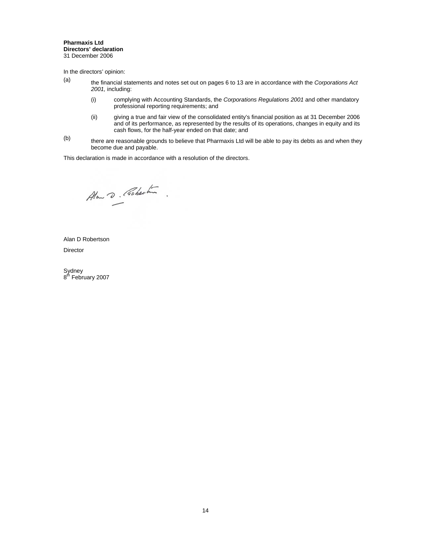#### **Pharmaxis Ltd Directors' declaration**  31 December 2006

In the directors' opinion:

- (a) the financial statements and notes set out on pages 6 to 13 are in accordance with the *Corporations Act 2001,* including:
	- (i) complying with Accounting Standards, the *Corporations Regulations 2001* and other mandatory professional reporting requirements; and
	- (ii) giving a true and fair view of the consolidated entity's financial position as at 31 December 2006 and of its performance, as represented by the results of its operations, changes in equity and its cash flows, for the half-year ended on that date; and
- $(b)$  there are reasonable grounds to believe that Pharmaxis Ltd will be able to pay its debts as and when they become due and payable.

This declaration is made in accordance with a resolution of the directors.

Alow D. Coberton.

Alan D Robertson Director

Sydney<br>8<sup>th</sup> February 2007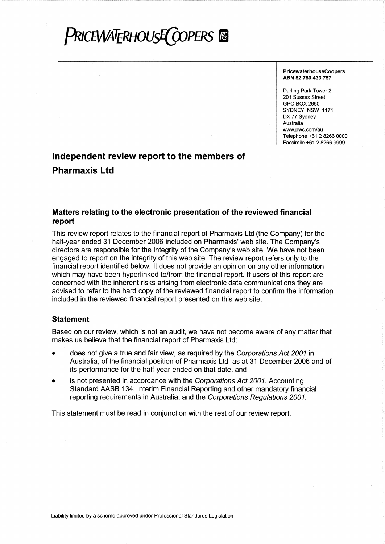# **PRICEWATERHOUSE COPERS**

**PricewaterhouseCoopers** ABN 52 780 433 757

Darling Park Tower 2 201 Sussex Street GPO BOX 2650 SYDNEY NSW 1171 DX 77 Svdnev Australia www.pwc.com/au Telephone +61 2 8266 0000 Facsimile +61 2 8266 9999

# Independent review report to the members of **Pharmaxis Ltd**

# Matters relating to the electronic presentation of the reviewed financial report

This review report relates to the financial report of Pharmaxis Ltd (the Company) for the half-year ended 31 December 2006 included on Pharmaxis' web site. The Company's directors are responsible for the integrity of the Company's web site. We have not been engaged to report on the integrity of this web site. The review report refers only to the financial report identified below. It does not provide an opinion on any other information which may have been hyperlinked to/from the financial report. If users of this report are concerned with the inherent risks arising from electronic data communications they are advised to refer to the hard copy of the reviewed financial report to confirm the information included in the reviewed financial report presented on this web site.

# **Statement**

Based on our review, which is not an audit, we have not become aware of any matter that makes us believe that the financial report of Pharmaxis Ltd:

- does not give a true and fair view, as required by the Corporations Act 2001 in Australia, of the financial position of Pharmaxis Ltd as at 31 December 2006 and of its performance for the half-year ended on that date, and
- is not presented in accordance with the Corporations Act 2001, Accounting  $\bullet$ Standard AASB 134: Interim Financial Reporting and other mandatory financial reporting requirements in Australia, and the Corporations Regulations 2001.

This statement must be read in conjunction with the rest of our review report.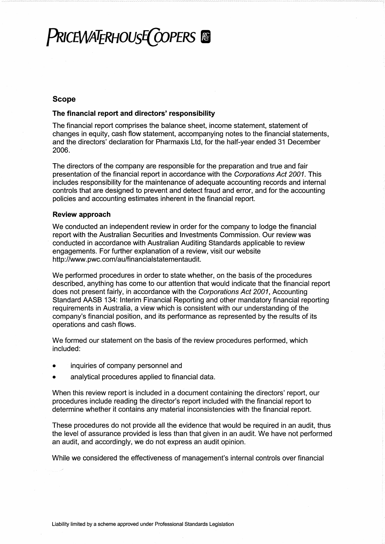# **PRICEWATERHOUSE COPERS**

# **Scope**

# The financial report and directors' responsibility

The financial report comprises the balance sheet, income statement, statement of changes in equity, cash flow statement, accompanying notes to the financial statements, and the directors' declaration for Pharmaxis Ltd, for the half-year ended 31 December 2006.

The directors of the company are responsible for the preparation and true and fair presentation of the financial report in accordance with the Corporations Act 2001. This includes responsibility for the maintenance of adequate accounting records and internal controls that are designed to prevent and detect fraud and error, and for the accounting policies and accounting estimates inherent in the financial report.

# **Review approach**

We conducted an independent review in order for the company to lodge the financial report with the Australian Securities and Investments Commission. Our review was conducted in accordance with Australian Auditing Standards applicable to review engagements. For further explanation of a review, visit our website http://www.pwc.com/au/financialstatementaudit.

We performed procedures in order to state whether, on the basis of the procedures described, anything has come to our attention that would indicate that the financial report does not present fairly, in accordance with the Corporations Act 2001, Accounting Standard AASB 134: Interim Financial Reporting and other mandatory financial reporting requirements in Australia, a view which is consistent with our understanding of the company's financial position, and its performance as represented by the results of its operations and cash flows.

We formed our statement on the basis of the review procedures performed, which included:

- inquiries of company personnel and
- analytical procedures applied to financial data.  $\bullet$

When this review report is included in a document containing the directors' report, our procedures include reading the director's report included with the financial report to determine whether it contains any material inconsistencies with the financial report.

These procedures do not provide all the evidence that would be required in an audit, thus the level of assurance provided is less than that given in an audit. We have not performed an audit, and accordingly, we do not express an audit opinion.

While we considered the effectiveness of management's internal controls over financial